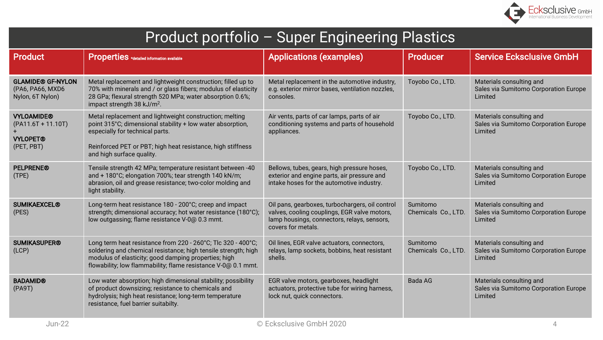

| Product portfolio - Super Engineering Plastics                             |                                                                                                                                                                                                                                                         |                                                                                                                                                                      |                                 |                                                                              |  |  |
|----------------------------------------------------------------------------|---------------------------------------------------------------------------------------------------------------------------------------------------------------------------------------------------------------------------------------------------------|----------------------------------------------------------------------------------------------------------------------------------------------------------------------|---------------------------------|------------------------------------------------------------------------------|--|--|
| <b>Product</b>                                                             | <b>Properties</b> *detailed information available                                                                                                                                                                                                       | <b>Applications (examples)</b>                                                                                                                                       | <b>Producer</b>                 | <b>Service Ecksclusive GmbH</b>                                              |  |  |
| <b>GLAMIDE® GF-NYLON</b><br>(PA6, PA66, MXD6<br>Nylon, 6T Nylon)           | Metal replacement and lightweight construction; filled up to<br>70% with minerals and / or glass fibers; modulus of elasticity<br>28 GPa; flexural strength 520 MPa; water absorption 0.6%;<br>impact strength 38 kJ/m <sup>2</sup> .                   | Metal replacement in the automotive industry,<br>e.g. exterior mirror bases, ventilation nozzles,<br>consoles.                                                       | Toyobo Co., LTD.                | Materials consulting and<br>Sales via Sumitomo Corporation Europe<br>Limited |  |  |
| <b>VYLOAMIDE®</b><br>$(PA11.6T + 11.10T)$<br><b>VYLOPET®</b><br>(PET, PBT) | Metal replacement and lightweight construction; melting<br>point 315°C; dimensional stability + low water absorption,<br>especially for technical parts.<br>Reinforced PET or PBT; high heat resistance, high stiffness<br>and high surface quality.    | Air vents, parts of car lamps, parts of air<br>conditioning systems and parts of household<br>appliances.                                                            | Toyobo Co., LTD.                | Materials consulting and<br>Sales via Sumitomo Corporation Europe<br>Limited |  |  |
| <b>PELPRENE®</b><br>(TPE)                                                  | Tensile strength 42 MPa; temperature resistant between -40<br>and + 180°C; elongation 700%; tear strength 140 kN/m;<br>abrasion, oil and grease resistance; two-color molding and<br>light stability.                                                   | Bellows, tubes, gears, high pressure hoses,<br>exterior and engine parts, air pressure and<br>intake hoses for the automotive industry.                              | Toyobo Co., LTD.                | Materials consulting and<br>Sales via Sumitomo Corporation Europe<br>Limited |  |  |
| <b>SUMIKAEXCEL®</b><br>(PES)                                               | Long-term heat resistance 180 - 200°C; creep and impact<br>strength; dimensional accuracy; hot water resistance (180°C);<br>low outgassing; flame resistance V-0@ 0.3 mmt.                                                                              | Oil pans, gearboxes, turbochargers, oil control<br>valves, cooling couplings, EGR valve motors,<br>lamp housings, connectors, relays, sensors,<br>covers for metals. | Sumitomo<br>Chemicals Co., LTD. | Materials consulting and<br>Sales via Sumitomo Corporation Europe<br>Limited |  |  |
| <b>SUMIKASUPER®</b><br>(LCP)                                               | Long term heat resistance from 220 - 260°C; Tlc 320 - 400°C;<br>soldering and chemical resistance; high tensile strength; high<br>modulus of elasticity; good damping properties; high<br>flowability; low flammability; flame resistance V-0@ 0.1 mmt. | Oil lines, EGR valve actuators, connectors,<br>relays, lamp sockets, bobbins, heat resistant<br>shells.                                                              | Sumitomo<br>Chemicals Co., LTD. | Materials consulting and<br>Sales via Sumitomo Corporation Europe<br>Limited |  |  |
| <b>BADAMID®</b><br>(PA9T)                                                  | Low water absorption; high dimensional stability; possibility<br>of product downsizing; resistance to chemicals and<br>hydrolysis; high heat resistance; long-term temperature<br>resistance, fuel barrier suitabilty.                                  | EGR valve motors, gearboxes, headlight<br>actuators, protective tube for wiring harness,<br>lock nut, quick connectors.                                              | <b>Bada AG</b>                  | Materials consulting and<br>Sales via Sumitomo Corporation Europe<br>Limited |  |  |